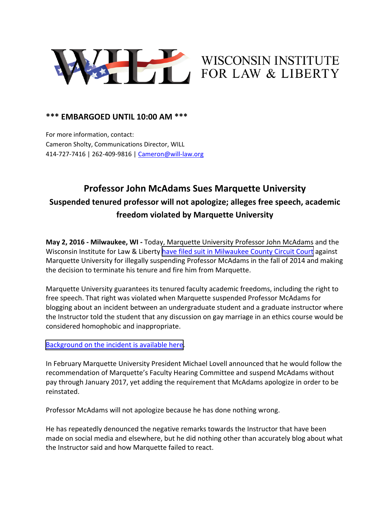

## WISCONSIN INSTITUTE FOR LAW & LIBERTY

## **\*\*\* EMBARGOED UNTIL 10:00 AM \*\*\***

For more information, contact: Cameron Sholty, Communications Director, WILL 414‐727‐7416 | 262‐409‐9816 | Cameron@will‐law.org

## **Professor John McAdams Sues Marquette University Suspended tenured professor will not apologize; alleges free speech, academic freedom violated by Marquette University**

**May 2, 2016 ‐ Milwaukee, WI ‐** Today, Marquette University Professor John McAdams and the Wisconsin Institute for Law & Liberty have filed suit in [Milwaukee](http://www.will-law.org/wp-content/uploads/2016/05/2016-05-02-File-Stamped-SC-with-Exhibits.pdf) County Circuit Court against Marquette University for illegally suspending Professor McAdams in the fall of 2014 and making the decision to terminate his tenure and fire him from Marquette.

Marquette University guarantees its tenured faculty academic freedoms, including the right to free speech. That right was violated when Marquette suspended Professor McAdams for blogging about an incident between an undergraduate student and a graduate instructor where the Instructor told the student that any discussion on gay marriage in an ethics course would be considered homophobic and inappropriate.

## [Background](http://www.will-law.org/category/case-updates/mcadams-v-marquette/) on the incident is available here.

In February Marquette University President Michael Lovell announced that he would follow the recommendation of Marquette's Faculty Hearing Committee and suspend McAdams without pay through January 2017, yet adding the requirement that McAdams apologize in order to be reinstated.

Professor McAdams will not apologize because he has done nothing wrong.

He has repeatedly denounced the negative remarks towards the Instructor that have been made on social media and elsewhere, but he did nothing other than accurately blog about what the Instructor said and how Marquette failed to react.